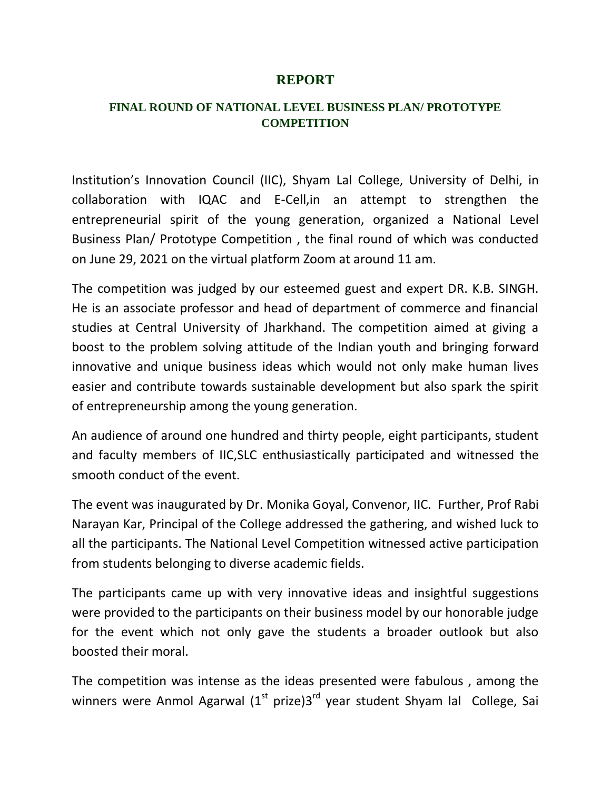## **REPORT**

## **FINAL ROUND OF NATIONAL LEVEL BUSINESS PLAN/ PROTOTYPE COMPETITION**

Institution's Innovation Council (IIC), Shyam Lal College, University of Delhi, in collaboration with IQAC and E-Cell,in an attempt to strengthen the entrepreneurial spirit of the young generation, organized a National Level Business Plan/ Prototype Competition , the final round of which was conducted on June 29, 2021 on the virtual platform Zoom at around 11 am.

The competition was judged by our esteemed guest and expert DR. K.B. SINGH. He is an associate professor and head of department of commerce and financial studies at Central University of Jharkhand. The competition aimed at giving a boost to the problem solving attitude of the Indian youth and bringing forward innovative and unique business ideas which would not only make human lives easier and contribute towards sustainable development but also spark the spirit of entrepreneurship among the young generation.

An audience of around one hundred and thirty people, eight participants, student and faculty members of IIC,SLC enthusiastically participated and witnessed the smooth conduct of the event.

The event was inaugurated by Dr. Monika Goyal, Convenor, IIC. Further, Prof Rabi Narayan Kar, Principal of the College addressed the gathering, and wished luck to all the participants. The National Level Competition witnessed active participation from students belonging to diverse academic fields.

The participants came up with very innovative ideas and insightful suggestions were provided to the participants on their business model by our honorable judge for the event which not only gave the students a broader outlook but also boosted their moral.

The competition was intense as the ideas presented were fabulous , among the winners were Anmol Agarwal  $(1<sup>st</sup> p$ rize) $3<sup>rd</sup>$  year student Shyam lal College, Sai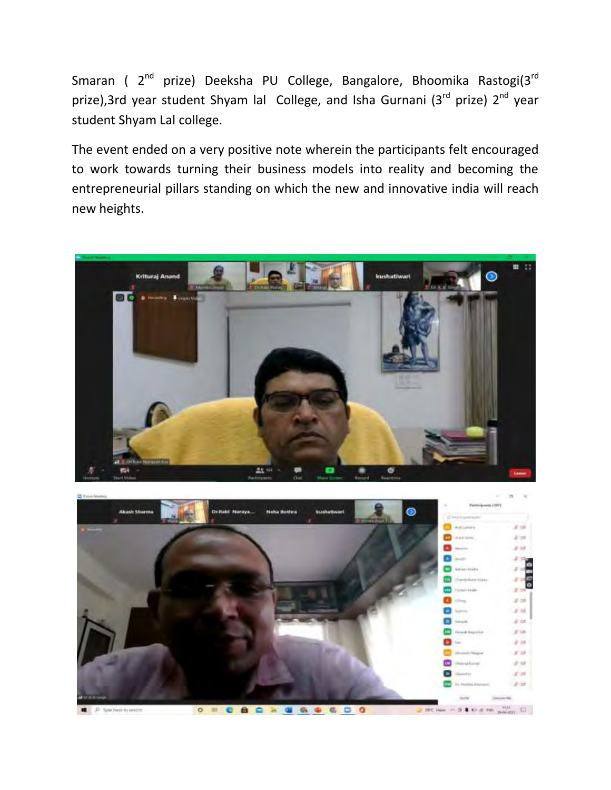Smaran ( 2<sup>nd</sup> prize) Deeksha PU College, Bangalore, Bhoomika Rastogi(3<sup>rd</sup> prize),3rd year student Shyam lal College, and Isha Gurnani (3<sup>rd</sup> prize) 2<sup>nd</sup> year student Shyam Lal college.

The event ended on a very positive note wherein the participants felt encouraged to work towards turning their business models into reality and becoming the entrepreneurial pillars standing on which the new and innovative india will reach new heights.